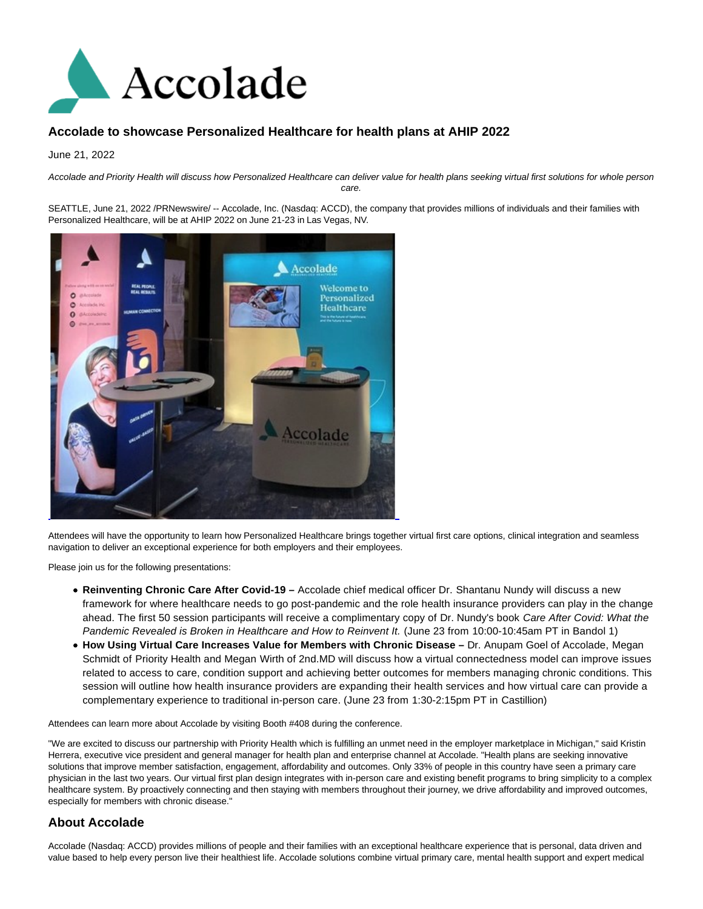

## **Accolade to showcase Personalized Healthcare for health plans at AHIP 2022**

June 21, 2022

Accolade and Priority Health will discuss how Personalized Healthcare can deliver value for health plans seeking virtual first solutions for whole person care.

SEATTLE, June 21, 2022 /PRNewswire/ -- Accolade, Inc. (Nasdaq: ACCD), the company that provides millions of individuals and their families with Personalized Healthcare, will be at AHIP 2022 on June 21-23 in Las Vegas, NV.



Attendees will have the opportunity to learn how Personalized Healthcare brings together virtual first care options, clinical integration and seamless navigation to deliver an exceptional experience for both employers and their employees.

Please join us for the following presentations:

- **Reinventing Chronic Care After Covid-19** Accolade chief medical officer Dr. Shantanu Nundy will discuss a new framework for where healthcare needs to go post-pandemic and the role health insurance providers can play in the change ahead. The first 50 session participants will receive a complimentary copy of Dr. Nundy's book Care After Covid: What the Pandemic Revealed is Broken in Healthcare and How to Reinvent It. (June 23 from 10:00-10:45am PT in Bandol 1)
- **How Using Virtual Care Increases Value for Members with Chronic Disease** Dr. Anupam Goel of Accolade, Megan Schmidt of Priority Health and Megan Wirth of 2nd.MD will discuss how a virtual connectedness model can improve issues related to access to care, condition support and achieving better outcomes for members managing chronic conditions. This session will outline how health insurance providers are expanding their health services and how virtual care can provide a complementary experience to traditional in-person care. (June 23 from 1:30-2:15pm PT in Castillion)

Attendees can learn more about Accolade by visiting Booth #408 during the conference.

"We are excited to discuss our partnership with Priority Health which is fulfilling an unmet need in the employer marketplace in Michigan," said Kristin Herrera, executive vice president and general manager for health plan and enterprise channel at Accolade. "Health plans are seeking innovative solutions that improve member satisfaction, engagement, affordability and outcomes. Only 33% of people in this country have seen a primary care physician in the last two years. Our virtual first plan design integrates with in-person care and existing benefit programs to bring simplicity to a complex healthcare system. By proactively connecting and then staying with members throughout their journey, we drive affordability and improved outcomes, especially for members with chronic disease."

## **About Accolade**

Accolade (Nasdaq: ACCD) provides millions of people and their families with an exceptional healthcare experience that is personal, data driven and value based to help every person live their healthiest life. Accolade solutions combine virtual primary care, mental health support and expert medical